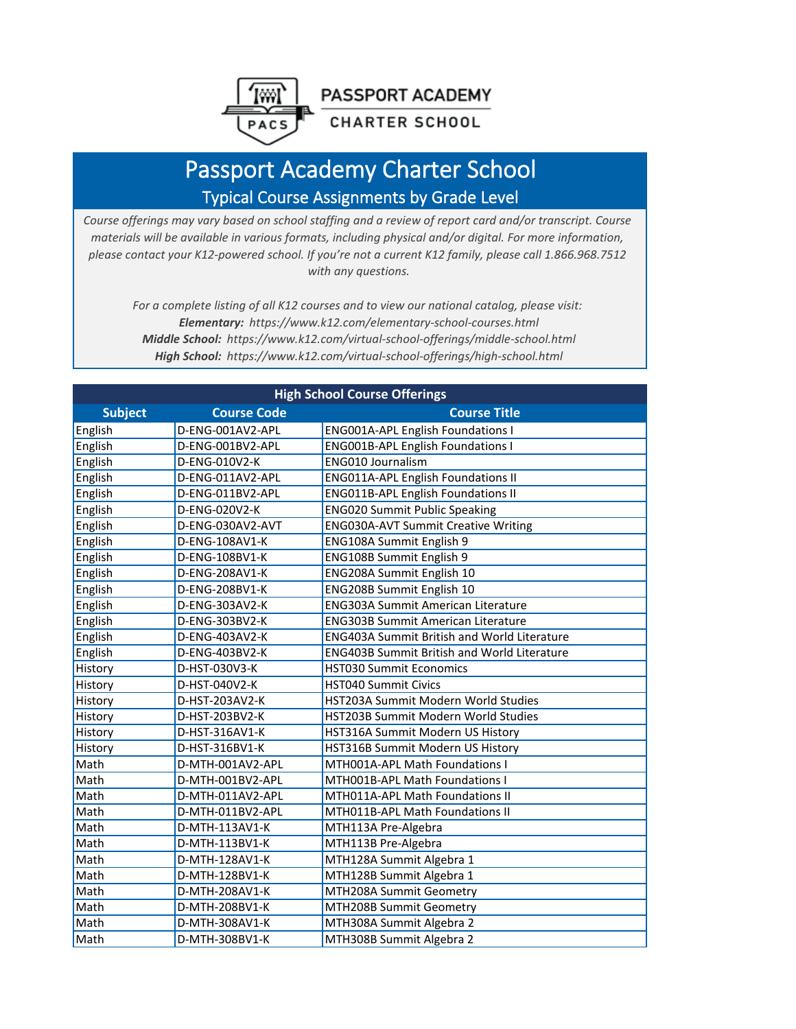**PASSPORT ACADEMY** 

## **CHARTER SCHOOL**

## Passport Academy Charter School Typical Course Assignments by Grade Level

PACS

*Course offerings may vary based on school staffing and a review of report card and/or transcript. Course materials will be available in various formats, including physical and/or digital. For more information, please contact your K12-powered school. If you're not a current K12 family, please call 1.866.968.7512 with any questions.*

*For a complete listing of all K12 courses and to view our national catalog, please visit: Elementary: https://www.k12.com/elementary-school-courses.html Middle School: https://www.k12.com/virtual-school-offerings/middle-school.html High School: https://www.k12.com/virtual-school-offerings/high-school.html*

| <b>High School Course Offerings</b> |                    |                                                    |  |
|-------------------------------------|--------------------|----------------------------------------------------|--|
| <b>Subject</b>                      | <b>Course Code</b> | <b>Course Title</b>                                |  |
| English                             | D-ENG-001AV2-APL   | <b>ENG001A-APL English Foundations I</b>           |  |
| English                             | D-ENG-001BV2-APL   | <b>ENG001B-APL English Foundations I</b>           |  |
| English                             | D-ENG-010V2-K      | <b>ENG010 Journalism</b>                           |  |
| English                             | D-ENG-011AV2-APL   | <b>ENG011A-APL English Foundations II</b>          |  |
| English                             | D-ENG-011BV2-APL   | <b>ENG011B-APL English Foundations II</b>          |  |
| English                             | D-ENG-020V2-K      | <b>ENG020 Summit Public Speaking</b>               |  |
| English                             | D-ENG-030AV2-AVT   | <b>ENG030A-AVT Summit Creative Writing</b>         |  |
| English                             | D-ENG-108AV1-K     | ENG108A Summit English 9                           |  |
| English                             | D-ENG-108BV1-K     | ENG108B Summit English 9                           |  |
| English                             | D-ENG-208AV1-K     | ENG208A Summit English 10                          |  |
| English                             | D-ENG-208BV1-K     | ENG208B Summit English 10                          |  |
| English                             | D-ENG-303AV2-K     | <b>ENG303A Summit American Literature</b>          |  |
| English                             | D-ENG-303BV2-K     | <b>ENG303B Summit American Literature</b>          |  |
| English                             | D-ENG-403AV2-K     | <b>ENG403A Summit British and World Literature</b> |  |
| English                             | D-ENG-403BV2-K     | <b>ENG403B Summit British and World Literature</b> |  |
| History                             | D-HST-030V3-K      | <b>HST030 Summit Economics</b>                     |  |
| History                             | D-HST-040V2-K      | <b>HST040 Summit Civics</b>                        |  |
| History                             | D-HST-203AV2-K     | HST203A Summit Modern World Studies                |  |
| History                             | D-HST-203BV2-K     | HST203B Summit Modern World Studies                |  |
| History                             | D-HST-316AV1-K     | HST316A Summit Modern US History                   |  |
| History                             | D-HST-316BV1-K     | HST316B Summit Modern US History                   |  |
| Math                                | D-MTH-001AV2-APL   | MTH001A-APL Math Foundations I                     |  |
| Math                                | D-MTH-001BV2-APL   | MTH001B-APL Math Foundations I                     |  |
| Math                                | D-MTH-011AV2-APL   | MTH011A-APL Math Foundations II                    |  |
| Math                                | D-MTH-011BV2-APL   | MTH011B-APL Math Foundations II                    |  |
| Math                                | D-MTH-113AV1-K     | MTH113A Pre-Algebra                                |  |
| Math                                | D-MTH-113BV1-K     | MTH113B Pre-Algebra                                |  |
| Math                                | D-MTH-128AV1-K     | MTH128A Summit Algebra 1                           |  |
| Math                                | D-MTH-128BV1-K     | MTH128B Summit Algebra 1                           |  |
| Math                                | D-MTH-208AV1-K     | MTH208A Summit Geometry                            |  |
| Math                                | D-MTH-208BV1-K     | MTH208B Summit Geometry                            |  |
| Math                                | D-MTH-308AV1-K     | MTH308A Summit Algebra 2                           |  |
| Math                                | D-MTH-308BV1-K     | MTH308B Summit Algebra 2                           |  |